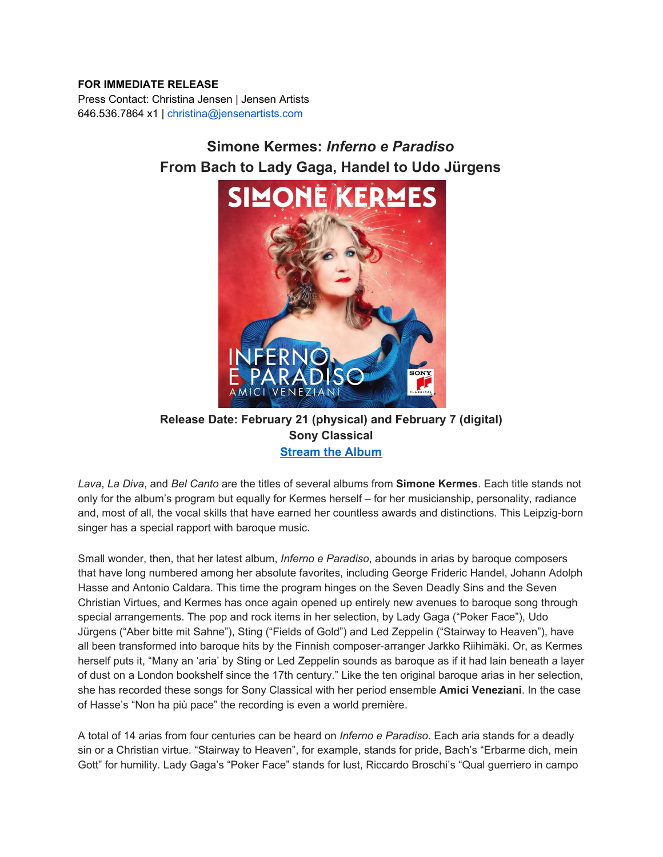## **FOR IMMEDIATE RELEASE**

Press Contact: Christina Jensen | Jensen Artists 646.536.7864 x1 | christina@jensenartists.com

## **Simone Kermes:** *Inferno e Paradiso* **From Bach to Lady Gaga, Handel to Udo Jürgens**



## **Release Date: February 21 (physical) and February 7 (digital) Sony Classical [Stream](https://u7061146.ct.sendgrid.net/ls/click?upn=4tNED-2FM8iDZJQyQ53jATUcKaDp5rDcRdksFvIMndfhzOS-2FbTo4vlTsj12XWeOovkjgbo4C4mLoXZxCVpbBmwGXJZ12kwhD4KtlpLCWdIgeRDjsE435A-2BE6vL54lK2-2FWc7Xso_IpA7hxueGg5XIsiAxedwPJ6X7KkvJosY9CQSXImWzsGT2TMlME98D1uoJFSQ2tXLntiI-2BJ2MeBovEtABaBEmsOOFc-2BVBaLMHWENAhPqWPGxC6l7ZempKV1lHhjKHbROwOXnGRzCaPxH-2FxcXIA8O0Djm8P2nppLtCKcB1Kax7htb14G6OEhSk9-2BwvmIs6PPmwtxbbIO4mMt49oHW-2BTQzlSrrvqHPBj2cL-2FUbH8-2Faf9xLLMXSWx8rMaHZEKlM-2FCG1WJeyzciT0OM7htQatV83YMjupjNoTxMc1dc0J1NUpVlo5UTForh7FkjakOdLbqTkGOL-2BpiZtuYkZMKkN1-2FAdCwpTgQVkBsr-2B6eM3UWzekvZg-3D) the Album**

*Lava*, *La Diva*, and *Bel Canto* are the titles of several albums from **Simone Kermes**. Each title stands not only for the album's program but equally for Kermes herself – for her musicianship, personality, radiance and, most of all, the vocal skills that have earned her countless awards and distinctions. This Leipzig-born singer has a special rapport with baroque music.

Small wonder, then, that her latest album, *Inferno e Paradiso*, abounds in arias by baroque composers that have long numbered among her absolute favorites, including George Frideric Handel, Johann Adolph Hasse and Antonio Caldara. This time the program hinges on the Seven Deadly Sins and the Seven Christian Virtues, and Kermes has once again opened up entirely new avenues to baroque song through special arrangements. The pop and rock items in her selection, by Lady Gaga ("Poker Face"), Udo Jürgens ("Aber bitte mit Sahne"), Sting ("Fields of Gold") and Led Zeppelin ("Stairway to Heaven"), have all been transformed into baroque hits by the Finnish composer-arranger Jarkko Riihimäki. Or, as Kermes herself puts it, "Many an 'aria' by Sting or Led Zeppelin sounds as baroque as if it had lain beneath a layer of dust on a London bookshelf since the 17th century." Like the ten original baroque arias in her selection, she has recorded these songs for Sony Classical with her period ensemble **Amici Veneziani**. In the case of Hasse's "Non ha più pace" the recording is even a world première.

A total of 14 arias from four centuries can be heard on *Inferno e Paradiso*. Each aria stands for a deadly sin or a Christian virtue. "Stairway to Heaven", for example, stands for pride, Bach's "Erbarme dich, mein Gott" for humility. Lady Gaga's "Poker Face" stands for lust, Riccardo Broschi's "Qual guerriero in campo